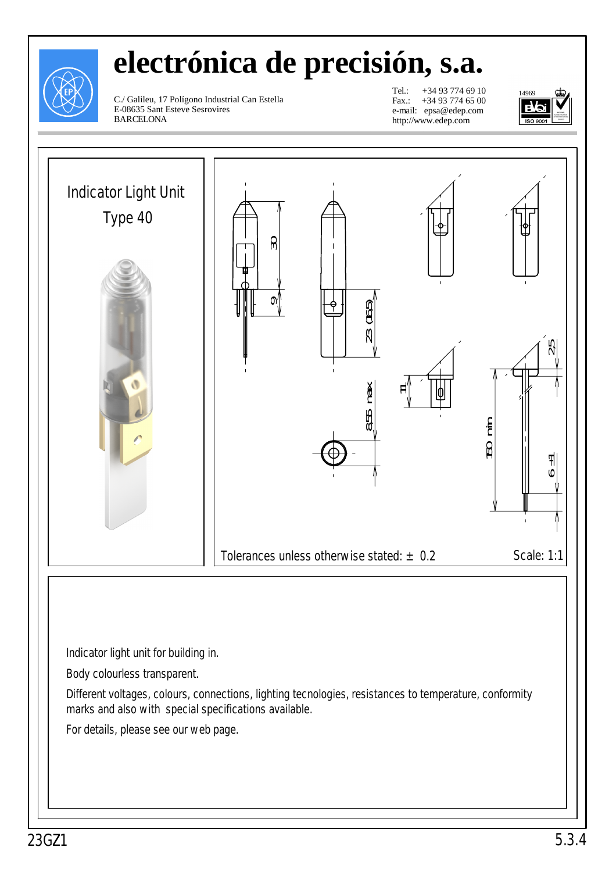

# **electrónica de precisión, s.a.**

C./ Galileu, 17 Polígono Industrial Can Estella E-08635 Sant Esteve Sesrovires BARCELONA

Tel.: +34 93 774 69 10 Fax.: +34 93 774 65 00 e-mail: epsa@edep.com http://www.edep.com



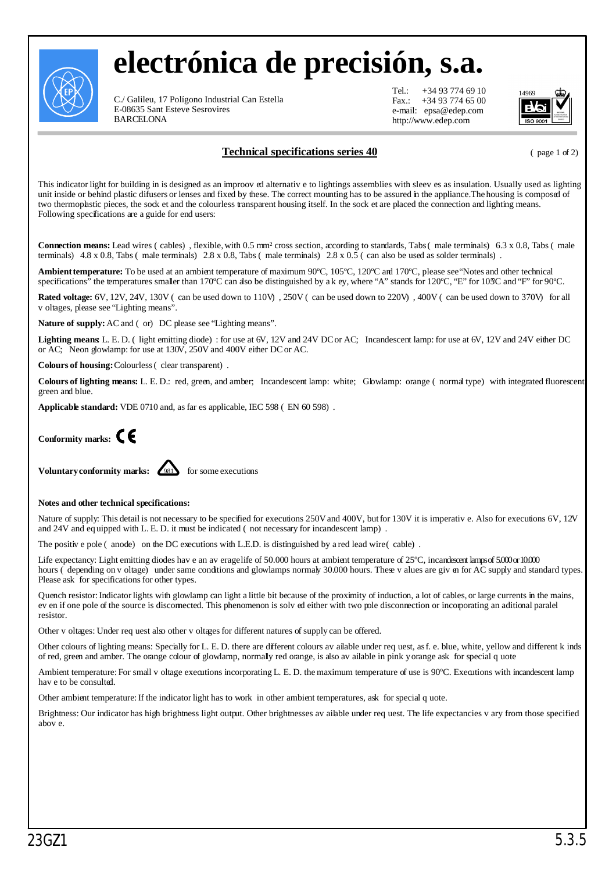

## **electrónica de precisión, s.a.**

C./ Galileu, 17 Polígono Industrial Can Estella E-08635 Sant Esteve Sesrovires BARCELONA

Tel.: +34 93 774 69 10<br>Fax.: +34 93 774 65 00 +34 93 774 65 00 e-mail: epsa@edep.com http://www.edep.com



### **Technical specifications series 40** (page 1 of 2)

This indicator light for building in is designed as an improoved alternative to lightings assemblies with sleeves as insulation. Usually used as lighting unit inside or behind plastic difusers or lenses and fixed by these. The correct mounting has to be assured in the appliance.The housing is composed of two thermoplastic pieces, the sock et and the colourless transparent housing itself. In the sock et are placed the connection and lighting means. Following specifications are a guide for end users:

**Connection means:** Lead wires (cables), flexible, with 0.5 mm<sup>2</sup> cross section, according to standards, Tabs (male terminals) 6.3 x 0.8, Tabs (male terminals)  $4.8 \times 0.8$ , Tabs (male terminals)  $2.8 \times 0.8$ , Tabs (male terminals)  $2.8 \times 0.5$  (can also be used as solder terminals).

**Ambient temperature:** To be used at an ambient temperature of maximum 90ºC, 105ºC, 120ºC and 170ºC, please see"Notes and other technical specifications" the temperatures smaller than 170°C can dso be distinguished by akey, where "A" stands for 120°C, "E" for 105°C and "F" for 90°C.

**Rated voltage:** 6V, 12V, 24V, 130V (can be used down to 110V), 250V (can be used down to 220V), 400V (can be used down to 370V) for all voltages, please see "Lighting means".

Nature of supply: AC and (or) DC please see "Lighting means".

Lighting means L. E. D. (light emitting diode): for use at 6V, 12V and 24V DC or AC; Incandescent lamp: for use at 6V, 12V and 24V either DC or AC; Neon glowlamp: for use at 130V, 250V and 400V either DCor AC.

**Colours of housing:** Colourless (clear transparent).

**Colours of lighting means:** L. E. D.: red, green, and amber; Incandescent lamp: white; Glowlamp: orange (normal type) with integrated fluorescent green and blue.

**Applicable standard:** VDE 0710 and, as far es applicable, IEC 598 (EN 60 598).



**Voluntary conformity marks:**  $\left( \frac{981}{2} \right)$  for some executions

#### **Notes and other technical specifications:**

Nature of supply: This detail is not necessary to be specified for executions 250Vand 400V, butfor 130V it is imperative. Also for executions 6V, 12V and 24V and equipped with L. E. D. it must be indicated (not necessary for incandescent lamp).

The positive pole (anode) on the DC executions with L.E.D. is distinguished by a red lead wire (cable).

Life expectancy: Light emitting diodes have an averagelife of 50.000 hours at ambient temperature of 25°C, incandescent lamps of 5.000 or 10.000 hours (depending on v oltage) under same conditions and glowlamps normaly 30.000 hours. These v alues are given for AC supply and standard types. Please ask for specifications for other types.

Quench resistor: Indicator lights with glowlamp can light a little bit because of the proximity of induction, a lot of cables, or large currents in the mains, even if one pole of the source is disconnected. This phenomenon is solved either with two pole disconnection or incorporating an aditional paralel resistor.

Other voltages: Under request also other voltages for different natures of supply can be offered.

Other colours of lighting means: Specially for L. E. D. there are different colours available under request, asf. e. blue, white, yellow and different kinds of red, green and amber. The orange colour of glowlamp, normaly red orange, is also available in pink yorange ask for special quote

Ambient temperature: For small v oltage executions incorporating L. E. D. the maximum temperature of use is 90°C. Executions with incandescent lamp have to be consulted.

Other ambient temperature: If the indicator light has to work in other ambient temperatures, ask for special quote.

Brightness: Our indicator has high brightness light output. Other brightnesses available under request. The life expectancies vary from those specified above.